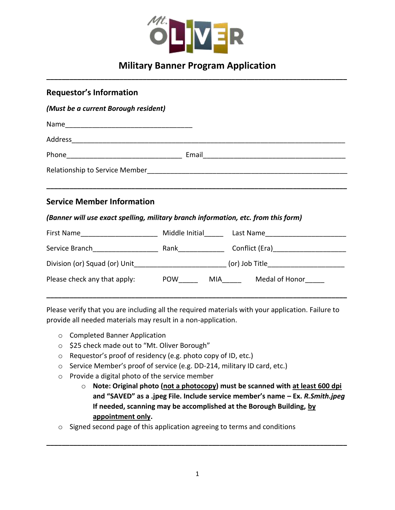

## **Military Banner Program Application \_\_\_\_\_\_\_\_\_\_\_\_\_\_\_\_\_\_\_\_\_\_\_\_\_\_\_\_\_\_\_\_\_\_\_\_\_\_\_\_\_\_\_\_\_\_\_\_\_\_\_\_\_\_\_\_\_\_\_\_\_\_\_\_\_\_\_\_\_\_\_\_\_\_\_\_\_\_**

| <b>Requestor's Information</b>                                                     |  |                                                                                          |  |  |
|------------------------------------------------------------------------------------|--|------------------------------------------------------------------------------------------|--|--|
| (Must be a current Borough resident)                                               |  |                                                                                          |  |  |
|                                                                                    |  |                                                                                          |  |  |
|                                                                                    |  |                                                                                          |  |  |
|                                                                                    |  |                                                                                          |  |  |
|                                                                                    |  |                                                                                          |  |  |
|                                                                                    |  |                                                                                          |  |  |
| <b>Service Member Information</b>                                                  |  |                                                                                          |  |  |
| (Banner will use exact spelling, military branch information, etc. from this form) |  |                                                                                          |  |  |
|                                                                                    |  | First Name_________________________ Middle Initial_______ Last Name_____________________ |  |  |
|                                                                                    |  |                                                                                          |  |  |
|                                                                                    |  |                                                                                          |  |  |
| Please check any that apply: POW ______ MIA _____ Medal of Honor                   |  |                                                                                          |  |  |
|                                                                                    |  |                                                                                          |  |  |

Please verify that you are including all the required materials with your application. Failure to provide all needed materials may result in a non-application.

- o Completed Banner Application
- o \$25 check made out to "Mt. Oliver Borough"
- o Requestor's proof of residency (e.g. photo copy of ID, etc.)
- o Service Member's proof of service (e.g. DD-214, military ID card, etc.)
- o Provide a digital photo of the service member
	- o **Note: Original photo (not a photocopy) must be scanned with at least 600 dpi and "SAVED" as a .jpeg File. Include service member's name – Ex.** *R.Smith.jpeg* **If needed, scanning may be accomplished at the Borough Building, by appointment only.**
- o Signed second page of this application agreeing to terms and conditions

**\_\_\_\_\_\_\_\_\_\_\_\_\_\_\_\_\_\_\_\_\_\_\_\_\_\_\_\_\_\_\_\_\_\_\_\_\_\_\_\_\_\_\_\_\_\_\_\_\_\_\_\_\_\_\_\_\_\_\_\_\_\_\_\_\_\_\_\_\_\_\_\_\_\_\_\_\_\_**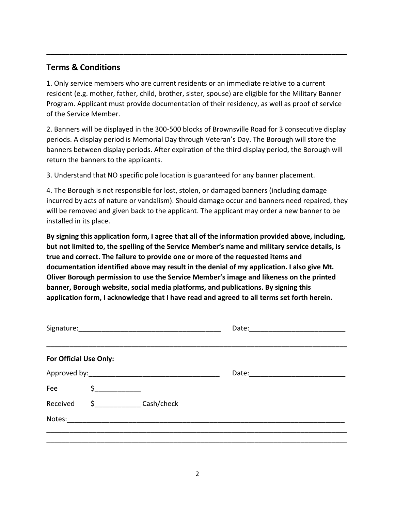## **Terms & Conditions**

1. Only service members who are current residents or an immediate relative to a current resident (e.g. mother, father, child, brother, sister, spouse) are eligible for the Military Banner Program. Applicant must provide documentation of their residency, as well as proof of service of the Service Member.

**\_\_\_\_\_\_\_\_\_\_\_\_\_\_\_\_\_\_\_\_\_\_\_\_\_\_\_\_\_\_\_\_\_\_\_\_\_\_\_\_\_\_\_\_\_\_\_\_\_\_\_\_\_\_\_\_\_\_\_\_\_\_\_\_\_\_\_\_\_\_\_\_\_\_\_\_\_\_**

2. Banners will be displayed in the 300-500 blocks of Brownsville Road for 3 consecutive display periods. A display period is Memorial Day through Veteran's Day. The Borough will store the banners between display periods. After expiration of the third display period, the Borough will return the banners to the applicants.

3. Understand that NO specific pole location is guaranteed for any banner placement.

4. The Borough is not responsible for lost, stolen, or damaged banners (including damage incurred by acts of nature or vandalism). Should damage occur and banners need repaired, they will be removed and given back to the applicant. The applicant may order a new banner to be installed in its place.

**By signing this application form, I agree that all of the information provided above, including, but not limited to, the spelling of the Service Member's name and military service details, is true and correct. The failure to provide one or more of the requested items and documentation identified above may result in the denial of my application. I also give Mt. Oliver Borough permission to use the Service Member's image and likeness on the printed banner, Borough website, social media platforms, and publications. By signing this application form, I acknowledge that I have read and agreed to all terms set forth herein.**

|                        |               | Date: |  |
|------------------------|---------------|-------|--|
| For Official Use Only: |               |       |  |
|                        |               |       |  |
| Fee                    | $\frac{1}{2}$ |       |  |
| Received               | \$ Cash/check |       |  |
| Notes:                 |               |       |  |
|                        |               |       |  |